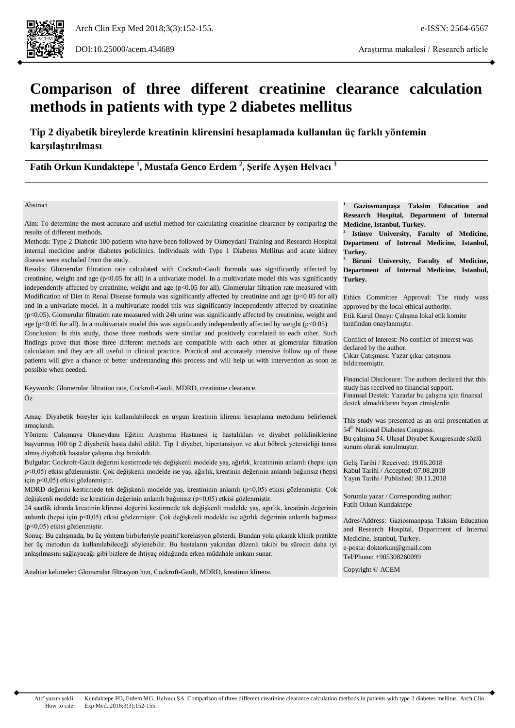# **Comparison of three different creatinine clearance calculation methods in patients with type 2 diabetes mellitus**

**Tip 2 diyabetik bireylerde kreatinin klirensini hesaplamada kullanılan üç farklı yöntemin karşılaştırılması**

**Fatih Orkun Kundaktepe <sup>1</sup> , Mustafa Genco Erdem <sup>2</sup> , Şerife Ayşen Helvacı <sup>3</sup>**

#### Abstract

Aim: To determine the most accurate and useful method for calculating creatinine clearance by comparing the results of different methods.

Methods: Type 2 Diabetic 100 patients who have been followed by Okmeydani Training and Research Hospital internal medicine and/or diabetes policlinics. Individuals with Type 1 Diabetes Mellitus and acute kidney disease were excluded from the study.

Results: Glomerular filtration rate calculated with Cockroft-Gault formula was significantly affected by creatinine, weight and age ( $p<0.05$  for all) in a univariate model. In a multivariate model this was significantly independently affected by creatinine, weight and age (p<0.05 for all). Glomerular filtration rate measured with Modification of Diet in Renal Disease formula was significantly affected by creatinine and age (p<0.05 for all) and in a univariate model. In a multivariate model this was significantly independently affected by creatinine (p<0.05). Glomerular filtration rate measured with 24h urine was significantly affected by creatinine, weight and age (p<0.05 for all). In a multivariate model this was significantly independently affected by weight (p<0.05).

Conclusion: In this study, those three methods were similar and positively correlated to each other. Such findings prove that those three different methods are compatible with each other at glomerular filtration calculation and they are all useful in clinical practice. Practical and accurately intensive follow up of those patients will give a chance of better understanding this process and will help us with intervention as soon as possible when needed.

Keywords: Glomerular filtration rate, Cockroft-Gault, MDRD, creatinine clearance. Öz

Amaç: Diyabetik bireyler için kullanılabilecek en uygun kreatinin klirensi hesaplama metodunu belirlemek amaçlandı.

Yöntem: Çalışmaya Okmeydanı Eğitim Araştırma Hastanesi iç hastalıkları ve diyabet polikliniklerine başvurmuş 100 tip 2 diyabetik hasta dahil edildi. Tip 1 diyabet, hipertansiyon ve akut böbrek yetersizliği tanısı almış diyabetik hastalar çalışma dışı bırakıldı.

Bulgular: Cockroft-Gault değerini kestirmede tek değişkenli modelde yaş, ağırlık, kreatininin anlamlı (hepsi için p<0,05) etkisi gözlenmiştir. Çok değişkenli modelde ise yaş, ağırlık, kreatinin değerinin anlamlı bağımsız (hepsi için p<0,05) etkisi gözlenmiştir.

MDRD değerini kestirmede tek değişkenli modelde yaş, kreatininin anlamlı (p<0,05) etkisi gözlenmiştir. Çok değişkenli modelde ise kreatinin değerinin anlamlı bağımsız (p<0,05) etkisi gözlenmiştir.

24 saatlik idrarda kreatinin klirensi değerini kestirmede tek değişkenli modelde yaş, ağırlık, kreatinin değerinin anlamlı (hepsi için p<0,05) etkisi gözlenmiştir. Çok değişkenli modelde ise ağırlık değerinin anlamlı bağımsız (p<0,05) etkisi gözlenmiştir.

Sonuç: Bu çalışmada, bu üç yöntem birbirleriyle pozitif korelasyon gösterdi. Bundan yola çıkarak klinik pratikte her üç metodun da kullanılabileceği söylenebilir. Bu hastaların yakından düzenli takibi bu sürecin daha iyi anlaşılmasını sağlayacağı gibi bizlere de ihtiyaç olduğunda erken müdahale imkanı sunar.

Anahtar kelimeler: Glomerular filtrasyon hızı, Cockroft-Gault, MDRD, kreatinin klirensi

**<sup>1</sup> Gaziosmanpaşa Taksim Education and Research Hospital, Department of Internal Medicine, Istanbul, Turkey.** 

**2 Istinye University, Faculty of Medicine, Department of Internal Medicine, Istanbul, Turkey.** 

**<sup>3</sup> Biruni University, Faculty of Medicine, Department of Internal Medicine, Istanbul, Turkey.**

Ethics Committee Approval: The study wass approved by the local ethical authority. Etik Kurul Onayı: Çalışma lokal etik komite tarafından onaylanmıştır.

Conflict of Interest: No conflict of interest was declared by the author. Çıkar Çatışması: Yazar çıkar çatışması bildirmemiştir.

Finansal Destek: Yazarlar bu çalışma için finansal destek almadıklarını beyan etmişlerdir. Financial Disclosure: The authors declared that this study has received no financial support.

This study was presented as an oral presentation at 54<sup>th</sup> National Diabetes Congress.

Bu çalışma 54. Ulusal Diyabet Kongresinde sözlü sunum olarak sunulmuştur.

Geliş Tarihi / Received: 19.06.2018 Kabul Tarihi / Accepted: 07.08.2018 Yayın Tarihi / Published: 30.11.2018

Sorumlu yazar / Corresponding author: Fatih Orkun Kundaktepe

Adres/Address: Gaziosmanpaşa Taksim Education and Research Hospital, Department of Internal Medicine, Istanbul, Turkey. e-posta: doktorkun@gmail.com Tel/Phone: +905308260099

Copyright © ACEM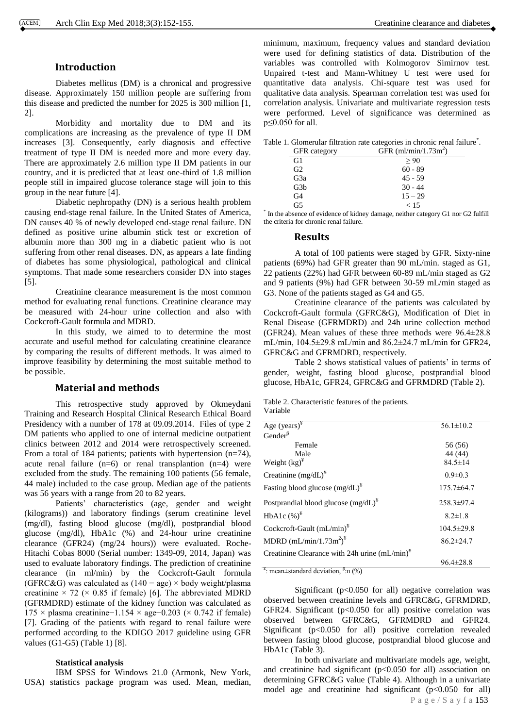# **Introduction**

Diabetes mellitus (DM) is a chronical and progressive disease. Approximately 150 million people are suffering from this disease and predicted the number for 2025 is 300 million [1, 2].

Morbidity and mortality due to DM and its complications are increasing as the prevalence of type II DM increases [3]. Consequently, early diagnosis and effective treatment of type II DM is needed more and more every day. There are approximately 2.6 million type II DM patients in our country, and it is predicted that at least one-third of 1.8 million people still in impaired glucose tolerance stage will join to this group in the near future [4].

Diabetic nephropathy (DN) is a serious health problem causing end-stage renal failure. In the United States of America, DN causes 40 % of newly developed end-stage renal failure. DN defined as positive urine albumin stick test or excretion of albumin more than 300 mg in a diabetic patient who is not suffering from other renal diseases. DN, as appears a late finding of diabetes has some physiological, pathological and clinical symptoms. That made some researchers consider DN into stages [5].

Creatinine clearance measurement is the most common method for evaluating renal functions. Creatinine clearance may be measured with 24-hour urine collection and also with Cockcroft-Gault formula and MDRD.

In this study, we aimed to to determine the most accurate and useful method for calculating creatinine clearance by comparing the results of different methods. It was aimed to improve feasibility by determining the most suitable method to be possible.

# **Material and methods**

This retrospective study approved by Okmeydani Training and Research Hospital Clinical Research Ethical Board Presidency with a number of 178 at 09.09.2014. Files of type 2 DM patients who applied to one of internal medicine outpatient clinics between 2012 and 2014 were retrospectively screened. From a total of 184 patients; patients with hypertension (n=74), acute renal failure  $(n=6)$  or renal transplantion  $(n=4)$  were excluded from the study. The remaining 100 patients (56 female, 44 male) included to the case group. Median age of the patients was 56 years with a range from 20 to 82 years.

Patients' characteristics (age, gender and weight (kilograms)) and laboratory findings (serum creatinine level (mg/dl), fasting blood glucose (mg/dl), postprandial blood glucose (mg/dl), HbA1c (%) and 24-hour urine creatinine clearance (GFR24) (mg/24 hours)) were evaluated. Roche-Hitachi Cobas 8000 (Serial number: 1349-09, 2014, Japan) was used to evaluate laboratory findings. The prediction of creatinine clearance (in ml/min) by the Cockcroft-Gault formula (GFRC&G) was calculated as (140 − age) × body weight/plasma creatinine  $\times$  72 ( $\times$  0.85 if female) [6]. The abbreviated MDRD (GFRMDRD) estimate of the kidney function was calculated as 175 × plasma creatinine−1.154 × age−0.203 (× 0.742 if female) [7]. Grading of the patients with regard to renal failure were performed according to the KDIGO 2017 guideline using GFR values (G1-G5) (Table 1) [8].

#### **Statistical analysis**

IBM SPSS for Windows 21.0 (Armonk, New York, USA) statistics package program was used. Mean, median, minimum, maximum, frequency values and standard deviation were used for defining statistics of data. Distribution of the variables was controlled with Kolmogorov Simirnov test. Unpaired t-test and Mann-Whitney U test were used for quantitative data analysis. Chi-square test was used for qualitative data analysis. Spearman correlation test was used for correlation analysis. Univariate and multivariate regression tests were performed. Level of significance was determined as p≤0.050 for all.

|  | Table 1. Glomerular filtration rate categories in chronic renal failure <sup>*</sup> . |  |  |  |  |
|--|----------------------------------------------------------------------------------------|--|--|--|--|
|  |                                                                                        |  |  |  |  |

| GFR category   | GFR $(ml/min/1.73m2)$ |
|----------------|-----------------------|
| G1             | > 90                  |
| G2             | $60 - 89$             |
| G3a            | $45 - 59$             |
| G3b            | $30 - 44$             |
| G <sub>4</sub> | $15 - 29$             |
| G5             | < 15                  |
|                |                       |

\* In the absence of evidence of kidney damage, neither category G1 nor G2 fulfill the criteria for chronic renal failure.

#### **Results**

A total of 100 patients were staged by GFR. Sixty-nine patients (69%) had GFR greater than 90 mL/min. staged as G1, 22 patients (22%) had GFR between 60-89 mL/min staged as G2 and 9 patients (9%) had GFR between 30-59 mL/min staged as G3. None of the patients staged as G4 and G5.

Creatinine clearance of the patients was calculated by Cockcroft-Gault formula (GFRC&G), Modification of Diet in Renal Disease (GFRMDRD) and 24h urine collection method (GFR24). Mean values of these three methods were  $96.4\pm28.8$ mL/min, 104.5±29.8 mL/min and 86.2±24.7 mL/min for GFR24, GFRC&G and GFRMDRD, respectively.

Table 2 shows statistical values of patients' in terms of gender, weight, fasting blood glucose, postprandial blood glucose, HbA1c, GFR24, GFRC&G and GFRMDRD (Table 2).

Table 2. Characteristic features of the patients. Variable

| Age $(years)^{4}$                                | $56.1 \pm 10.2$  |
|--------------------------------------------------|------------------|
| Gender <sup><math>\beta</math></sup>             |                  |
| Female                                           | 56 (56)          |
| Male                                             | 44 (44)          |
| Weight $(kg)^{\frac{1}{2}}$                      | $84.5 \pm 14$    |
| Creatinine $(mg/dL)^4$                           | $0.9 \pm 0.3$    |
| Fasting blood glucose $(mg/dL)^4$                | $175.7 \pm 64.7$ |
| Postprandial blood glucose $(mg/dL)^{4}$         | $258.3 \pm 97.4$ |
| HbA1c $(\%)^*$                                   | $8.2 \pm 1.8$    |
| Cockcroft-Gault $(mL/min)^4$                     | $104.5 \pm 29.8$ |
| MDRD $(mL/min/1.73m^2)^*$                        | $86.2 \pm 24.7$  |
| Creatinine Clearance with 24h urine $(mL/min)^*$ |                  |
|                                                  | $96.4 \pm 28.8$  |

<sup>¥</sup>: mean±standard deviation, <sup>β</sup>:n (%)

Significant (p<0.050 for all) negative correlation was observed between creatinine levels and GFRC&G, GFRMDRD, GFR24. Significant ( $p<0.050$  for all) positive correlation was observed between GFRC&G, GFRMDRD and GFR24. Significant  $(p<0.050$  for all) positive correlation revealed between fasting blood glucose, postprandial blood glucose and HbA1c (Table 3).

P a g e / S a y f a 153 In both univariate and multivariate models age, weight, and creatinine had significant  $(p<0.050$  for all) association on determining GFRC&G value (Table 4). Although in a univariate model age and creatinine had significant (p<0.050 for all)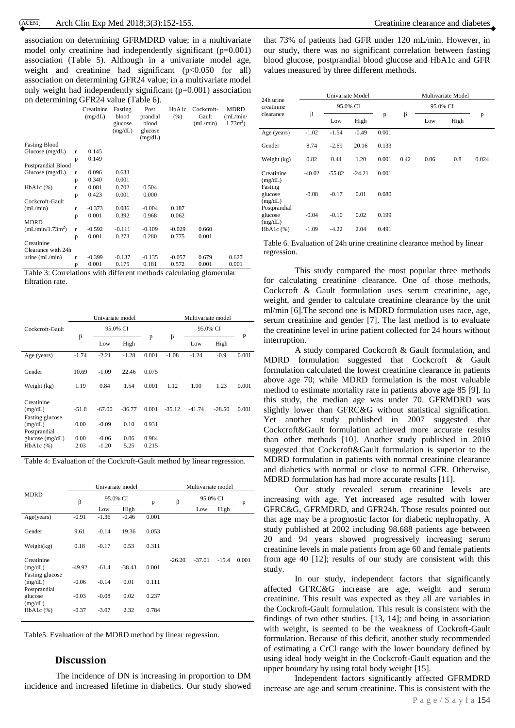association on determining GFRMDRD value; in a multivariate model only creatinine had independently significant (p=0.001) association (Table 5). Although in a univariate model age, weight and creatinine had significant  $(p<0.050$  for all) association on determining GFR24 value; in a multivariate model only weight had independently significant (p=0.001) association on determining GFR24 value (Table 6).

|                              |              | Creatinine<br>(mg/dL) | Fasting<br>blood<br>glucose<br>(mg/dL) | Post<br>prandial<br>blood<br>glucose<br>(mg/dL) | HbA1c<br>(% )                | Cockcroft-<br>Gault<br>(mL/min) | <b>MDRD</b><br>(mL/min/<br>$1.73m^2$ ) |
|------------------------------|--------------|-----------------------|----------------------------------------|-------------------------------------------------|------------------------------|---------------------------------|----------------------------------------|
| <b>Fasting Blood</b>         |              |                       |                                        |                                                 |                              |                                 |                                        |
| Glucose $(mg/dL)$            | $\mathbf{r}$ | 0.145                 |                                        |                                                 |                              |                                 |                                        |
|                              | p            | 0.149                 |                                        |                                                 |                              |                                 |                                        |
| Postprandial Blood           |              |                       |                                        |                                                 |                              |                                 |                                        |
| Glucose $(mg/dL)$            | r            | 0.096                 | 0.633                                  |                                                 |                              |                                 |                                        |
|                              | p            | 0.340                 | 0.001                                  |                                                 |                              |                                 |                                        |
| HbA1c(%)                     | r            | 0.081                 | 0.702                                  | 0.504                                           |                              |                                 |                                        |
|                              | p            | 0.423                 | 0.001                                  | 0.000                                           |                              |                                 |                                        |
| Cockcroft-Gault              |              |                       |                                        |                                                 |                              |                                 |                                        |
| (mL/min)                     | r            | $-0.373$              | 0.086                                  | $-0.004$                                        | 0.187                        |                                 |                                        |
|                              | p            | 0.001                 | 0.392                                  | 0.968                                           | 0.062                        |                                 |                                        |
| <b>MDRD</b>                  |              |                       |                                        |                                                 |                              |                                 |                                        |
| (mL/min/1.73m <sup>2</sup> ) | r            | $-0.592$              | $-0.111$                               | $-0.109$                                        | $-0.029$                     | 0.660                           |                                        |
|                              | p            | 0.001                 | 0.273                                  | 0.280                                           | 0.775                        | 0.001                           |                                        |
| Creatinine                   |              |                       |                                        |                                                 |                              |                                 |                                        |
| Clearance with 24h           |              |                       |                                        |                                                 |                              |                                 |                                        |
| urine $(mL/min)$             | r            | $-0.399$              | $-0.137$                               | $-0.135$                                        | $-0.057$                     | 0.679                           | 0.627                                  |
|                              | p            | 0.001                 | 0.175                                  | 0.181                                           | 0.572                        | 0.001                           | 0.001                                  |
| $\cdots$ $\cdots$<br>п.      |              | $\cdot$ . $\cdot$     | 1.00                                   | $-1$                                            | $\mathbf{u}$<br>$\mathbf{H}$ | п.                              | $\mathbf{u}$                           |

Table 3: Correlations with different methods calculating glomerular filtration rate.

|                                                     |              | Univariate model   |              |                | Multivariate model |          |          |       |  |  |
|-----------------------------------------------------|--------------|--------------------|--------------|----------------|--------------------|----------|----------|-------|--|--|
| Cockcroft-Gault                                     |              |                    | 95.0% CI     |                |                    | 95.0% CI |          |       |  |  |
|                                                     | β            | Low                | High         | p              | β                  | Low      | High     | P     |  |  |
| Age (years)                                         | $-1.74$      | $-2.21$            | $-1.28$      | 0.001          | $-1.08$            | $-1.24$  | $-0.9$   | 0.001 |  |  |
| Gender                                              | 10.69        | $-1.09$            | 22.46        | 0.075          |                    |          |          |       |  |  |
| Weight (kg)                                         | 1.19         | 0.84               | 1.54         | 0.001          | 1.12               | 1.00     | 1.23     | 0.001 |  |  |
| Creatinine<br>(mg/dL)<br>Fasting glucose            | $-51.8$      | $-67.00$           | $-36.77$     | 0.001          | $-35.12$           | $-41.74$ | $-28.50$ | 0.001 |  |  |
| (mg/dL)                                             | 0.00         | $-0.09$            | 0.10         | 0.931          |                    |          |          |       |  |  |
| Postprandial<br>glucose $(mg/dL)$<br>$HbA1c$ $(\%)$ | 0.00<br>2.03 | $-0.06$<br>$-1.20$ | 0.06<br>5.25 | 0.984<br>0.215 |                    |          |          |       |  |  |

Table 4: Evaluation of the Cockroft-Gault method by linear regression.

|                                            |          |                    | Univariate model |       | Multivariate model |          |         |       |  |
|--------------------------------------------|----------|--------------------|------------------|-------|--------------------|----------|---------|-------|--|
| <b>MDRD</b>                                | β        | 95.0% CI<br>β<br>p |                  |       | 95.0% CI           |          |         |       |  |
|                                            |          | Low                | High             |       |                    | Low      | High    | p     |  |
| Age(years)                                 | $-0.91$  | $-1.36$            | $-0.46$          | 0.001 |                    |          |         |       |  |
| Gender                                     | 9.61     | $-0.14$            | 19.36            | 0.053 |                    |          |         |       |  |
| Weight(kg)                                 | 0.18     | $-0.17$            | 0.53             | 0.311 |                    |          |         |       |  |
| Creatinine                                 |          |                    |                  |       | $-26.20$           | $-37.01$ | $-15.4$ | 0.001 |  |
| (mg/dL)                                    | $-49.92$ | $-61.4$            | $-38.43$         | 0.001 |                    |          |         |       |  |
| Fasting glucose<br>(mg/dL)<br>Postprandial | $-0.06$  | $-0.14$            | 0.01             | 0.111 |                    |          |         |       |  |
| glucose                                    | $-0.03$  | $-0.08$            | 0.02             | 0.237 |                    |          |         |       |  |
| (mg/dL)<br>HbA1c(%)                        | $-0.37$  | $-3.07$            | 2.32             | 0.784 |                    |          |         |       |  |

Table5. Evaluation of the MDRD method by linear regression.

# **Discussion**

The incidence of DN is increasing in proportion to DM incidence and increased lifetime in diabetics. Our study showed

that 73% of patients had GFR under 120 mL/min. However, in our study, there was no significant correlation between fasting blood glucose, postprandial blood glucose and HbA1c and GFR values measured by three different methods.

| 24h urine                          |          | Univariate Model |          |       |      |          | Multivariate Model |       |
|------------------------------------|----------|------------------|----------|-------|------|----------|--------------------|-------|
| creatinine                         |          | 95.0% CI         |          |       |      | 95.0% CI |                    |       |
| clearance                          | β        | Low              | High     | p     | β    | Low      | High               | p     |
| Age (years)                        | $-1.02$  | $-1.54$          | $-0.49$  | 0.001 |      |          |                    |       |
| Gender                             | 8.74     | $-2.69$          | 20.16    | 0.133 |      |          |                    |       |
| Weight (kg)                        | 0.82     | 0.44             | 1.20     | 0.001 | 0.42 | 0.06     | 0.8                | 0.024 |
| Creatinine<br>(mg/dL)              | $-40.02$ | $-55.82$         | $-24.21$ | 0.001 |      |          |                    |       |
| Fasting<br>glucose<br>(mg/dL)      | $-0.08$  | $-0.17$          | 0.01     | 0.080 |      |          |                    |       |
| Postprandial<br>glucose<br>(mg/dL) | $-0.04$  | $-0.10$          | 0.02     | 0.199 |      |          |                    |       |
| $HbA1c$ $%$                        | $-1.09$  | $-4.22$          | 2.04     | 0.491 |      |          |                    |       |

Table 6. Evaluation of 24h urine creatinine clearance method by linear regression.

This study compared the most popular three methods for calculating creatinine clearance. One of those methods, Cockcroft & Gault formulation uses serum creatinine, age, weight, and gender to calculate creatinine clearance by the unit ml/min [6].The second one is MDRD formulation uses race, age, serum creatinine and gender [7]. The last method is to evaluate the creatinine level in urine patient collected for 24 hours without interruption.

A study compared Cockcroft & Gault formulation, and MDRD formulation suggested that Cockcroft & Gault formulation calculated the lowest creatinine clearance in patients above age 70; while MDRD formulation is the most valuable method to estimate mortality rate in patients above age 85 [9]. In this study, the median age was under 70. GFRMDRD was slightly lower than GFRC&G without statistical signification. Yet another study published in 2007 suggested that Cockcroft&Gault formulation achieved more accurate results than other methods [10]. Another study published in 2010 suggested that Cockcroft&Gault formulation is superior to the MDRD formulation in patients with normal creatinine clearance and diabetics with normal or close to normal GFR. Otherwise, MDRD formulation has had more accurate results [11].

Our study revealed serum creatinine levels are increasing with age. Yet increased age resulted with lower GFRC&G, GFRMDRD, and GFR24h. Those results pointed out that age may be a prognostic factor for diabetic nephropathy. A study published at 2002 including 98.688 patients age between 20 and 94 years showed progressively increasing serum creatinine levels in male patients from age 60 and female patients from age 40 [12]; results of our study are consistent with this study.

In our study, independent factors that significantly affected GFRC&G increase are age, weight and serum creatinine. This result was expected as they all are variables in the Cockroft-Gault formulation. This result is consistent with the findings of two other studies. [13, 14]; and being in association with weight, is seemed to be the weakness of Cockroft-Gault formulation. Because of this deficit, another study recommended of estimating a CrCl range with the lower boundary defined by using ideal body weight in the Cockcroft-Gault equation and the upper boundary by using total body weight [15].

Independent factors significantly affected GFRMDRD increase are age and serum creatinine. This is consistent with the